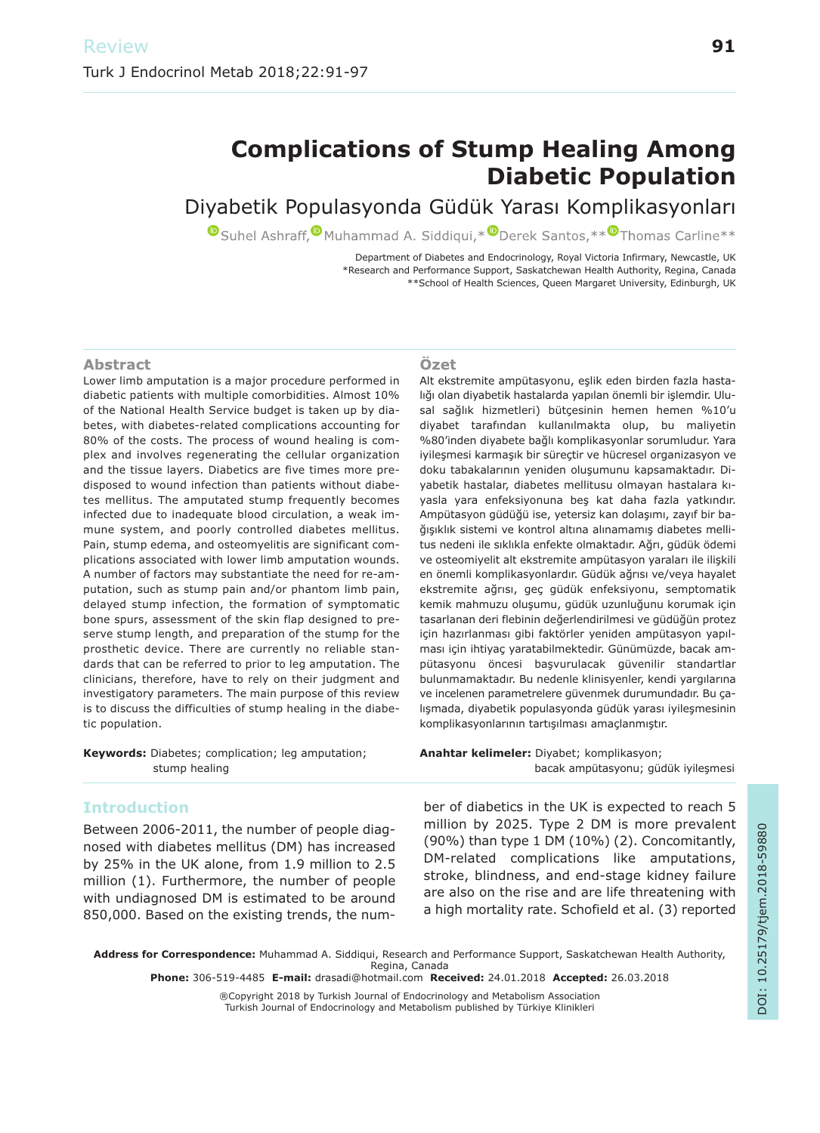# **Complications of Stump Healing Among Diabetic Population**

## Diyabetik Populasyonda Güdük Yarası Komplikasyonları

**O** Suhel Ashraff, O Muhammad A. Siddiqui, \* O Derek Santos, \*\* O Thomas Carline \*\*

Department of Diabetes and Endocrinology, Royal Victoria Infirmary, Newcastle, UK \*Research and Performance Support, Saskatchewan Health Authority, Regina, Canada \*\*School of Health Sciences, Queen Margaret University, Edinburgh, UK

#### **Abstract**

Lower limb amputation is a major procedure performed in diabetic patients with multiple comorbidities. Almost 10% of the National Health Service budget is taken up by diabetes, with diabetes-related complications accounting for 80% of the costs. The process of wound healing is complex and involves regenerating the cellular organization and the tissue layers. Diabetics are five times more predisposed to wound infection than patients without diabetes mellitus. The amputated stump frequently becomes infected due to inadequate blood circulation, a weak immune system, and poorly controlled diabetes mellitus. Pain, stump edema, and osteomyelitis are significant complications associated with lower limb amputation wounds. A number of factors may substantiate the need for re-amputation, such as stump pain and/or phantom limb pain, delayed stump infection, the formation of symptomatic bone spurs, assessment of the skin flap designed to preserve stump length, and preparation of the stump for the prosthetic device. There are currently no reliable standards that can be referred to prior to leg amputation. The clinicians, therefore, have to rely on their judgment and investigatory parameters. The main purpose of this review is to discuss the difficulties of stump healing in the diabetic population.

#### Özet

Alt ekstremite ampütasyonu, eşlik eden birden fazla hastalığı olan diyabetik hastalarda yapılan önemli bir işlemdir. Ulusal sağlık hizmetleri) bütçesinin hemen hemen %10'u diyabet tarafından kullanılmakta olup, bu maliyetin %80'inden diyabete bağlı komplikasyonlar sorumludur. Yara iyileşmesi karmaşık bir süreçtir ve hücresel organizasyon ve doku tabakalarının yeniden oluşumunu kapsamaktadır. Diyabetik hastalar, diabetes mellitusu olmayan hastalara kıyasla yara enfeksiyonuna beş kat daha fazla yatkındır. Ampütasyon güdüğü ise, yetersiz kan dolaşımı, zayıf bir bağışıklık sistemi ve kontrol altına alınamamış diabetes mellitus nedeni ile sıklıkla enfekte olmaktadır. Ağrı, güdük ödemi ve osteomiyelit alt ekstremite ampütasyon yaraları ile ilişkili en önemli komplikasyonlardır. Güdük ağrısı ve/veya hayalet ekstremite ağrısı, geç güdük enfeksiyonu, semptomatik kemik mahmuzu oluşumu, güdük uzunluğunu korumak için tasarlanan deri flebinin değerlendirilmesi ve güdüğün protez için hazırlanması gibi faktörler yeniden ampütasyon yapılması için ihtiyaç yaratabilmektedir. Günümüzde, bacak ampütasyonu öncesi başvurulacak güvenilir standartlar bulunmamaktadır. Bu nedenle klinisyenler, kendi yargılarına ve incelenen parametrelere güvenmek durumundadır. Bu çalışmada, diyabetik populasyonda güdük yarası iyileşmesinin komplikasyonlarının tartışılması amaçlanmıştır.

| <b>Keywords:</b> Diabetes; complication; leg amputation; | <b>Anahtar kelimeler:</b> Diyabet; komplikasyon; |
|----------------------------------------------------------|--------------------------------------------------|
| stump healing                                            | bacak ampütasyonu; güdük iyileşmesi              |
|                                                          |                                                  |

## **Introduction**

Between 2006-2011, the number of people diagnosed with diabetes mellitus (DM) has increased by 25% in the UK alone, from 1.9 million to 2.5 million (1). Furthermore, the number of people with undiagnosed DM is estimated to be around 850,000. Based on the existing trends, the number of diabetics in the UK is expected to reach 5 million by 2025. Type 2 DM is more prevalent (90%) than type 1 DM (10%) (2). Concomitantly, DM-related complications like amputations, stroke, blindness, and end-stage kidney failure are also on the rise and are life threatening with a high mortality rate. Schofield et al. (3) reported

**Address for Correspondence:** Muhammad A. Siddiqui, Research and Performance Support, Saskatchewan Health Authority, Regina, Canada

**Phone:** 306-519-4485 **E-mail:** drasadi@hotmail.com **Received:** 24.01.2018 **Accepted:** 26.03.2018

®Copyright 2018 by Turkish Journal of Endocrinology and Metabolism Association Turkish Journal of Endocrinology and Metabolism published by Türkiye Klinikleri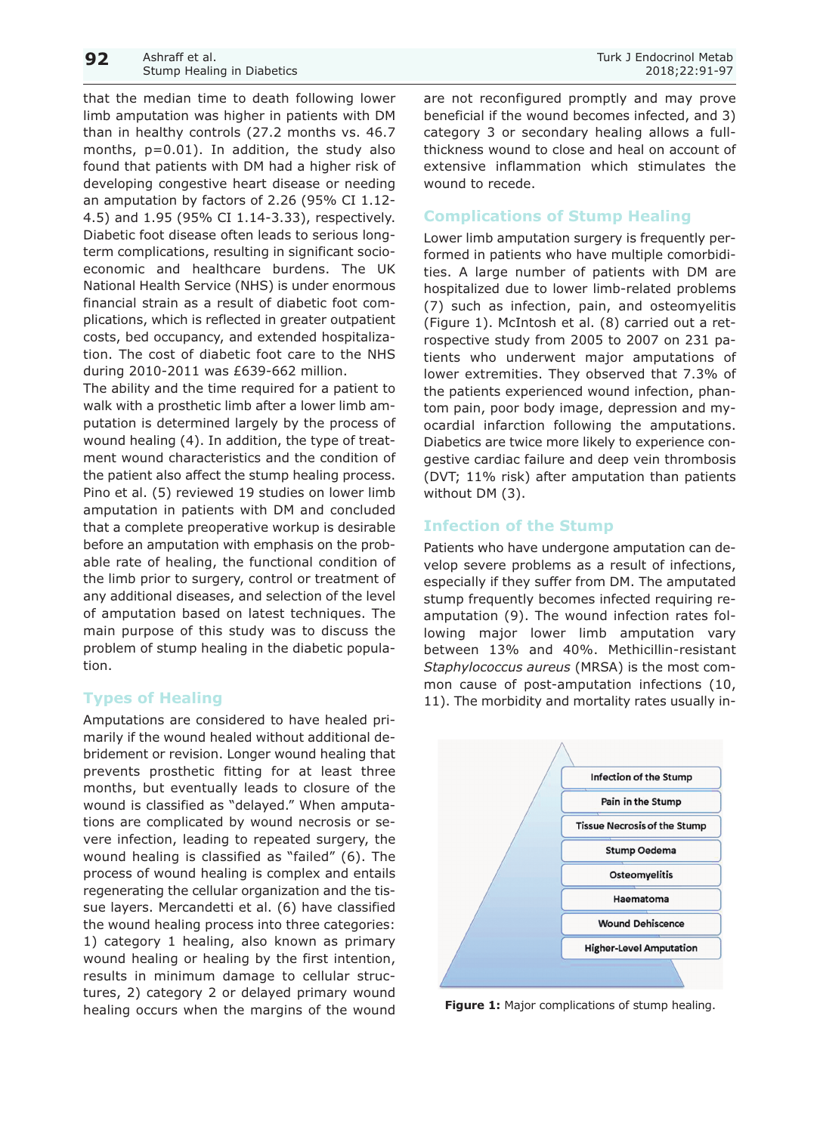that the median time to death following lower limb amputation was higher in patients with DM than in healthy controls (27.2 months vs. 46.7 months,  $p=0.01$ ). In addition, the study also found that patients with DM had a higher risk of developing congestive heart disease or needing an amputation by factors of 2.26 (95% CI 1.12- 4.5) and 1.95 (95% CI 1.14-3.33), respectively. Diabetic foot disease often leads to serious longterm complications, resulting in significant socioeconomic and healthcare burdens. The UK National Health Service (NHS) is under enormous financial strain as a result of diabetic foot complications, which is reflected in greater outpatient costs, bed occupancy, and extended hospitalization. The cost of diabetic foot care to the NHS during 2010-2011 was £639-662 million.

The ability and the time required for a patient to walk with a prosthetic limb after a lower limb amputation is determined largely by the process of wound healing (4). In addition, the type of treatment wound characteristics and the condition of the patient also affect the stump healing process. Pino et al. (5) reviewed 19 studies on lower limb amputation in patients with DM and concluded that a complete preoperative workup is desirable before an amputation with emphasis on the probable rate of healing, the functional condition of the limb prior to surgery, control or treatment of any additional diseases, and selection of the level of amputation based on latest techniques. The main purpose of this study was to discuss the problem of stump healing in the diabetic population.

#### **Types of Healing**

Amputations are considered to have healed primarily if the wound healed without additional debridement or revision. Longer wound healing that prevents prosthetic fitting for at least three months, but eventually leads to closure of the wound is classified as "delayed." When amputations are complicated by wound necrosis or severe infection, leading to repeated surgery, the wound healing is classified as "failed" (6). The process of wound healing is complex and entails regenerating the cellular organization and the tissue layers. Mercandetti et al. (6) have classified the wound healing process into three categories: 1) category 1 healing, also known as primary wound healing or healing by the first intention, results in minimum damage to cellular structures, 2) category 2 or delayed primary wound healing occurs when the margins of the wound

beneficial if the wound becomes infected, and 3) category 3 or secondary healing allows a fullthickness wound to close and heal on account of extensive inflammation which stimulates the wound to recede.

### **Complications of Stump Healing**

Lower limb amputation surgery is frequently performed in patients who have multiple comorbidities. A large number of patients with DM are hospitalized due to lower limb-related problems (7) such as infection, pain, and osteomyelitis (Figure 1). McIntosh et al. (8) carried out a retrospective study from 2005 to 2007 on 231 patients who underwent major amputations of lower extremities. They observed that 7.3% of the patients experienced wound infection, phantom pain, poor body image, depression and myocardial infarction following the amputations. Diabetics are twice more likely to experience congestive cardiac failure and deep vein thrombosis (DVT; 11% risk) after amputation than patients without DM (3).

#### **Infection of the Stump**

Patients who have undergone amputation can develop severe problems as a result of infections, especially if they suffer from DM. The amputated stump frequently becomes infected requiring reamputation (9). The wound infection rates following major lower limb amputation vary between 13% and 40%. Methicillin-resistant *Staphylococcus aureus* (MRSA) is the most common cause of post-amputation infections (10, 11). The morbidity and mortality rates usually in-



**Figure 1:** Major complications of stump healing.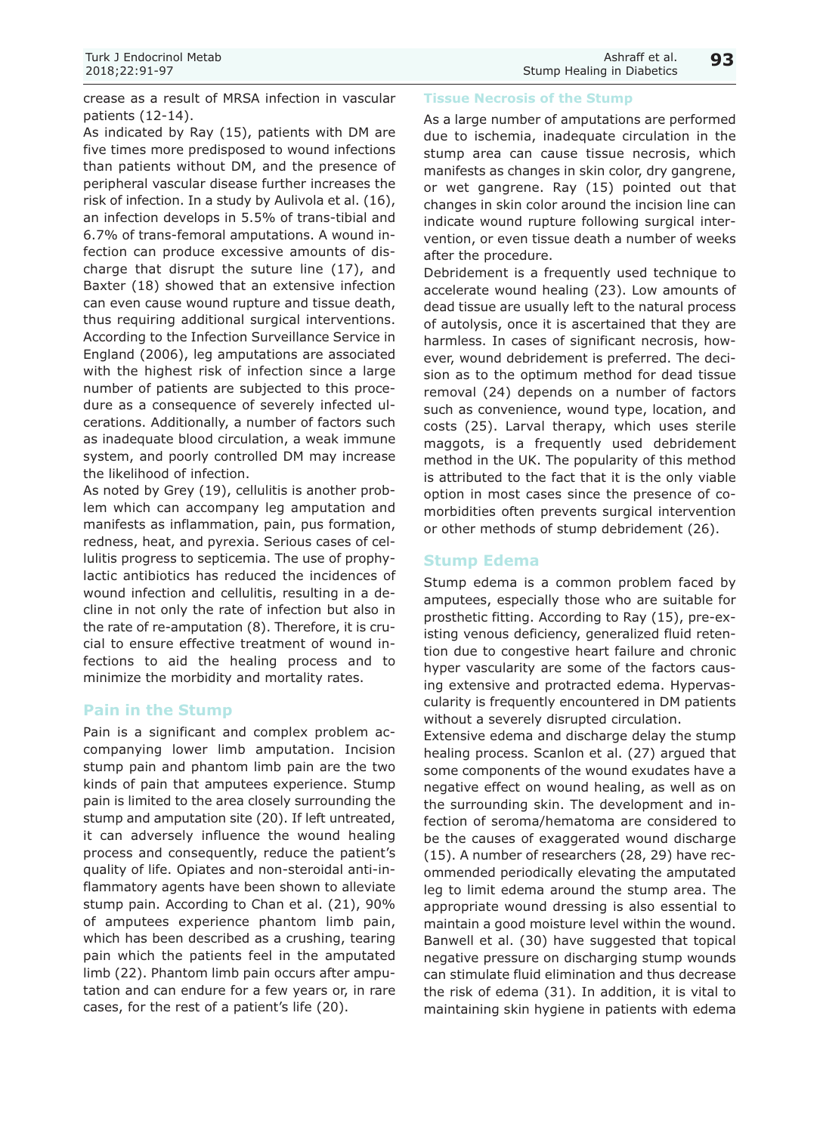crease as a result of MRSA infection in vascular patients (12-14).

As indicated by Ray (15), patients with DM are five times more predisposed to wound infections than patients without DM, and the presence of peripheral vascular disease further increases the risk of infection. In a study by Aulivola et al. (16), an infection develops in 5.5% of trans-tibial and 6.7% of trans-femoral amputations. A wound infection can produce excessive amounts of discharge that disrupt the suture line (17), and Baxter (18) showed that an extensive infection can even cause wound rupture and tissue death, thus requiring additional surgical interventions. According to the Infection Surveillance Service in England (2006), leg amputations are associated with the highest risk of infection since a large number of patients are subjected to this procedure as a consequence of severely infected ulcerations. Additionally, a number of factors such as inadequate blood circulation, a weak immune system, and poorly controlled DM may increase the likelihood of infection.

As noted by Grey (19), cellulitis is another problem which can accompany leg amputation and manifests as inflammation, pain, pus formation, redness, heat, and pyrexia. Serious cases of cellulitis progress to septicemia. The use of prophylactic antibiotics has reduced the incidences of wound infection and cellulitis, resulting in a decline in not only the rate of infection but also in the rate of re-amputation (8). Therefore, it is crucial to ensure effective treatment of wound infections to aid the healing process and to minimize the morbidity and mortality rates.

## **Pain in the Stump**

Pain is a significant and complex problem accompanying lower limb amputation. Incision stump pain and phantom limb pain are the two kinds of pain that amputees experience. Stump pain is limited to the area closely surrounding the stump and amputation site (20). If left untreated, it can adversely influence the wound healing process and consequently, reduce the patient's quality of life. Opiates and non-steroidal anti-inflammatory agents have been shown to alleviate stump pain. According to Chan et al. (21), 90% of amputees experience phantom limb pain, which has been described as a crushing, tearing pain which the patients feel in the amputated limb (22). Phantom limb pain occurs after amputation and can endure for a few years or, in rare cases, for the rest of a patient's life (20).

#### **Tissue Necrosis of the Stump**

As a large number of amputations are performed due to ischemia, inadequate circulation in the stump area can cause tissue necrosis, which manifests as changes in skin color, dry gangrene, or wet gangrene. Ray (15) pointed out that changes in skin color around the incision line can indicate wound rupture following surgical intervention, or even tissue death a number of weeks after the procedure.

Debridement is a frequently used technique to accelerate wound healing (23). Low amounts of dead tissue are usually left to the natural process of autolysis, once it is ascertained that they are harmless. In cases of significant necrosis, however, wound debridement is preferred. The decision as to the optimum method for dead tissue removal (24) depends on a number of factors such as convenience, wound type, location, and costs (25). Larval therapy, which uses sterile maggots, is a frequently used debridement method in the UK. The popularity of this method is attributed to the fact that it is the only viable option in most cases since the presence of comorbidities often prevents surgical intervention or other methods of stump debridement (26).

#### **Stump Edema**

Stump edema is a common problem faced by amputees, especially those who are suitable for prosthetic fitting. According to Ray (15), pre-existing venous deficiency, generalized fluid retention due to congestive heart failure and chronic hyper vascularity are some of the factors causing extensive and protracted edema. Hypervascularity is frequently encountered in DM patients without a severely disrupted circulation.

Extensive edema and discharge delay the stump healing process. Scanlon et al. (27) argued that some components of the wound exudates have a negative effect on wound healing, as well as on the surrounding skin. The development and infection of seroma/hematoma are considered to be the causes of exaggerated wound discharge (15). A number of researchers (28, 29) have recommended periodically elevating the amputated leg to limit edema around the stump area. The appropriate wound dressing is also essential to maintain a good moisture level within the wound. Banwell et al. (30) have suggested that topical negative pressure on discharging stump wounds can stimulate fluid elimination and thus decrease the risk of edema (31). In addition, it is vital to maintaining skin hygiene in patients with edema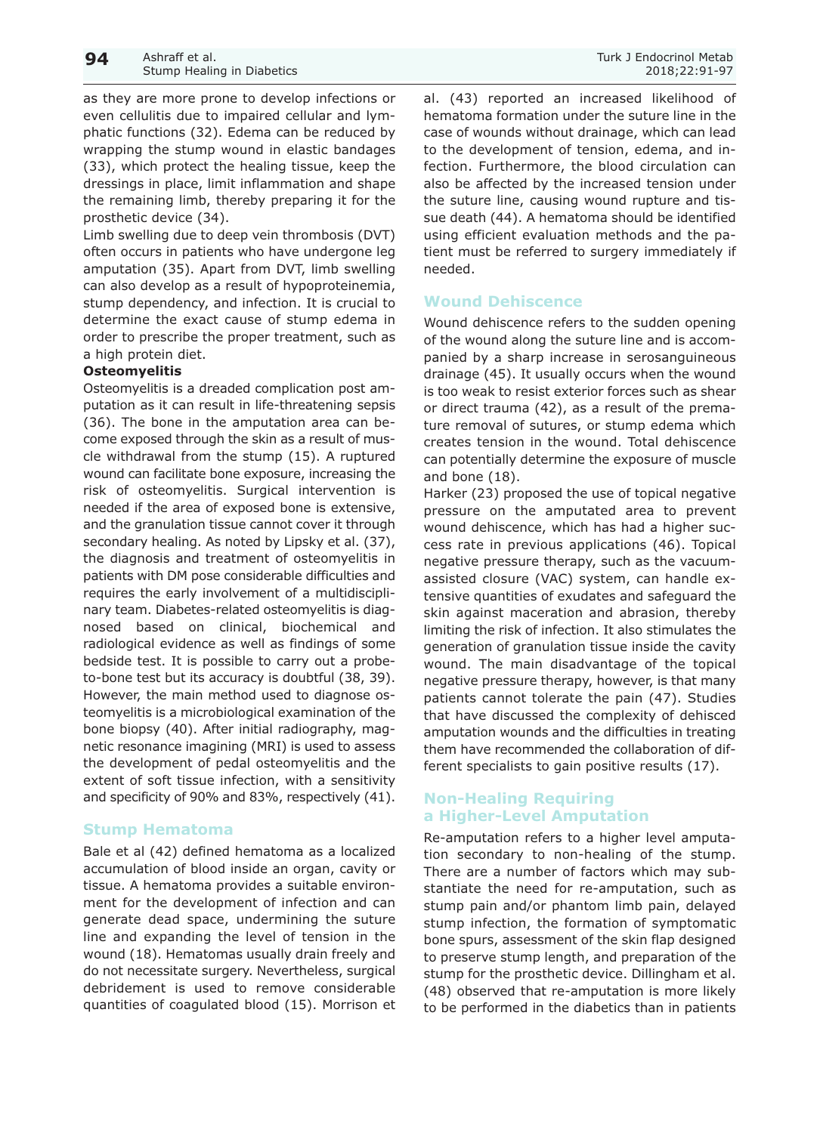as they are more prone to develop infections or even cellulitis due to impaired cellular and lymphatic functions (32). Edema can be reduced by wrapping the stump wound in elastic bandages (33), which protect the healing tissue, keep the dressings in place, limit inflammation and shape the remaining limb, thereby preparing it for the prosthetic device (34).

Limb swelling due to deep vein thrombosis (DVT) often occurs in patients who have undergone leg amputation (35). Apart from DVT, limb swelling can also develop as a result of hypoproteinemia, stump dependency, and infection. It is crucial to determine the exact cause of stump edema in order to prescribe the proper treatment, such as a high protein diet.

#### **Osteomyelitis**

Osteomyelitis is a dreaded complication post amputation as it can result in life-threatening sepsis (36). The bone in the amputation area can become exposed through the skin as a result of muscle withdrawal from the stump (15). A ruptured wound can facilitate bone exposure, increasing the risk of osteomyelitis. Surgical intervention is needed if the area of exposed bone is extensive, and the granulation tissue cannot cover it through secondary healing. As noted by Lipsky et al. (37), the diagnosis and treatment of osteomyelitis in patients with DM pose considerable difficulties and requires the early involvement of a multidisciplinary team. Diabetes-related osteomyelitis is diagnosed based on clinical, biochemical and radiological evidence as well as findings of some bedside test. It is possible to carry out a probeto-bone test but its accuracy is doubtful (38, 39). However, the main method used to diagnose osteomyelitis is a microbiological examination of the bone biopsy (40). After initial radiography, magnetic resonance imagining (MRI) is used to assess the development of pedal osteomyelitis and the extent of soft tissue infection, with a sensitivity and specificity of 90% and 83%, respectively (41).

#### **Stump Hematoma**

Bale et al (42) defined hematoma as a localized accumulation of blood inside an organ, cavity or tissue. A hematoma provides a suitable environment for the development of infection and can generate dead space, undermining the suture line and expanding the level of tension in the wound (18). Hematomas usually drain freely and do not necessitate surgery. Nevertheless, surgical debridement is used to remove considerable quantities of coagulated blood (15). Morrison et al. (43) reported an increased likelihood of hematoma formation under the suture line in the case of wounds without drainage, which can lead to the development of tension, edema, and infection. Furthermore, the blood circulation can also be affected by the increased tension under the suture line, causing wound rupture and tissue death (44). A hematoma should be identified using efficient evaluation methods and the patient must be referred to surgery immediately if needed.

#### **Wound Dehiscence**

Wound dehiscence refers to the sudden opening of the wound along the suture line and is accompanied by a sharp increase in serosanguineous drainage (45). It usually occurs when the wound is too weak to resist exterior forces such as shear or direct trauma (42), as a result of the premature removal of sutures, or stump edema which creates tension in the wound. Total dehiscence can potentially determine the exposure of muscle and bone (18).

Harker (23) proposed the use of topical negative pressure on the amputated area to prevent wound dehiscence, which has had a higher success rate in previous applications (46). Topical negative pressure therapy, such as the vacuumassisted closure (VAC) system, can handle extensive quantities of exudates and safeguard the skin against maceration and abrasion, thereby limiting the risk of infection. It also stimulates the generation of granulation tissue inside the cavity wound. The main disadvantage of the topical negative pressure therapy, however, is that many patients cannot tolerate the pain (47). Studies that have discussed the complexity of dehisced amputation wounds and the difficulties in treating them have recommended the collaboration of different specialists to gain positive results (17).

#### **Non-Healing Requiring a Higher-Level Amputation**

Re-amputation refers to a higher level amputation secondary to non-healing of the stump. There are a number of factors which may substantiate the need for re-amputation, such as stump pain and/or phantom limb pain, delayed stump infection, the formation of symptomatic bone spurs, assessment of the skin flap designed to preserve stump length, and preparation of the stump for the prosthetic device. Dillingham et al. (48) observed that re-amputation is more likely to be performed in the diabetics than in patients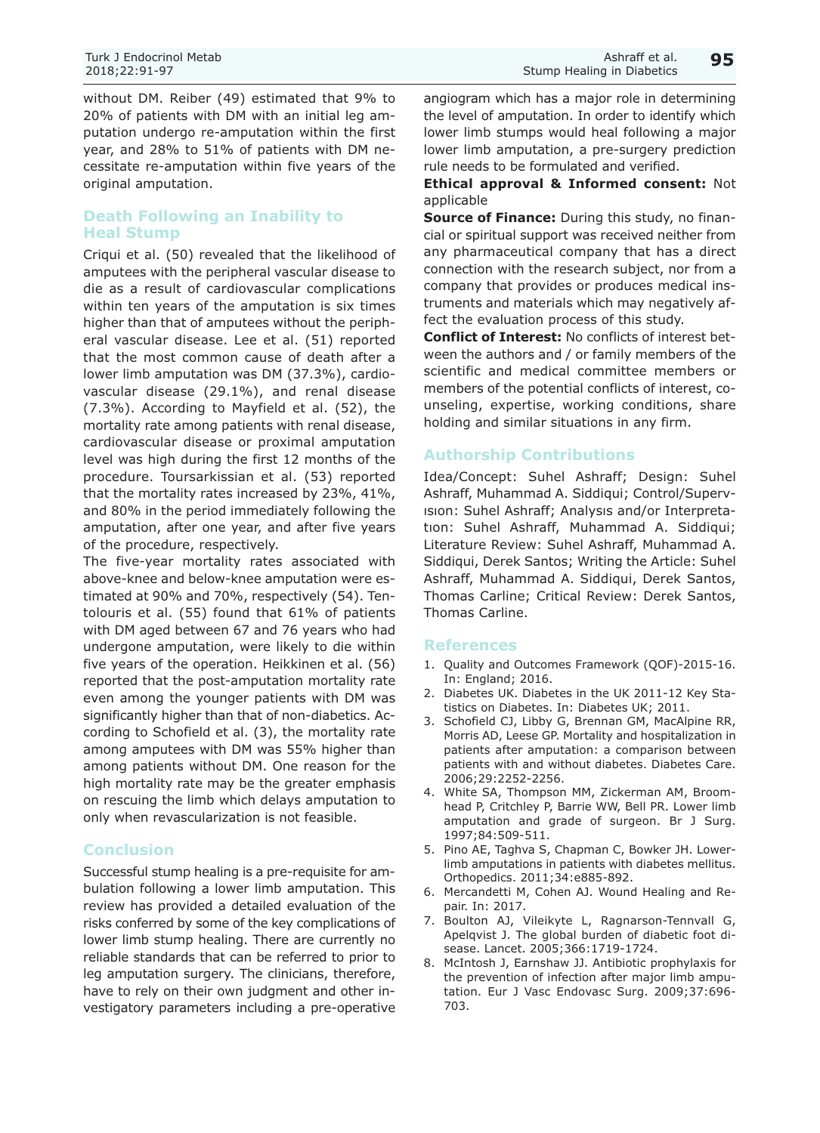without DM. Reiber (49) estimated that 9% to 20% of patients with DM with an initial leg amputation undergo re-amputation within the first year, and 28% to 51% of patients with DM necessitate re-amputation within five years of the original amputation.

## **Death Following an Inability to Heal Stump**

Criqui et al. (50) revealed that the likelihood of amputees with the peripheral vascular disease to die as a result of cardiovascular complications within ten years of the amputation is six times higher than that of amputees without the peripheral vascular disease. Lee et al. (51) reported that the most common cause of death after a lower limb amputation was DM (37.3%), cardiovascular disease (29.1%), and renal disease (7.3%). According to Mayfield et al. (52), the mortality rate among patients with renal disease, cardiovascular disease or proximal amputation level was high during the first 12 months of the procedure. Toursarkissian et al. (53) reported that the mortality rates increased by 23%, 41%, and 80% in the period immediately following the amputation, after one year, and after five years of the procedure, respectively.

The five-year mortality rates associated with above-knee and below-knee amputation were estimated at 90% and 70%, respectively (54). Tentolouris et al. (55) found that 61% of patients with DM aged between 67 and 76 years who had undergone amputation, were likely to die within five years of the operation. Heikkinen et al. (56) reported that the post-amputation mortality rate even among the younger patients with DM was significantly higher than that of non-diabetics. According to Schofield et al. (3), the mortality rate among amputees with DM was 55% higher than among patients without DM. One reason for the high mortality rate may be the greater emphasis on rescuing the limb which delays amputation to only when revascularization is not feasible.

## **Conclusion**

Successful stump healing is a pre-requisite for ambulation following a lower limb amputation. This review has provided a detailed evaluation of the risks conferred by some of the key complications of lower limb stump healing. There are currently no reliable standards that can be referred to prior to leg amputation surgery. The clinicians, therefore, have to rely on their own judgment and other investigatory parameters including a pre-operative angiogram which has a major role in determining the level of amputation. In order to identify which lower limb stumps would heal following a major lower limb amputation, a pre-surgery prediction rule needs to be formulated and verified.

#### **Ethical approval & Informed consent:** Not applicable

**Source of Finance:** During this study, no financial or spiritual support was received neither from any pharmaceutical company that has a direct connection with the research subject, nor from a company that provides or produces medical instruments and materials which may negatively affect the evaluation process of this study.

**Conflict of Interest:** No conflicts of interest between the authors and / or family members of the scientific and medical committee members or members of the potential conflicts of interest, counseling, expertise, working conditions, share holding and similar situations in any firm.

## **Authorship Contributions**

Idea/Concept: Suhel Ashraff; Design: Suhel Ashraff, Muhammad A. Siddiqui; Control/Supervısıon: Suhel Ashraff; Analysıs and/or Interpretatıon: Suhel Ashraff, Muhammad A. Siddiqui; Literature Review: Suhel Ashraff, Muhammad A. Siddiqui, Derek Santos; Writing the Article: Suhel Ashraff, Muhammad A. Siddiqui, Derek Santos, Thomas Carline; Critical Review: Derek Santos, Thomas Carline.

#### **References**

- 1. Quality and Outcomes Framework (QOF)-2015-16. In: England; 2016.
- 2. Diabetes UK. Diabetes in the UK 2011-12 Key Statistics on Diabetes. In: Diabetes UK; 2011.
- 3. Schofield CJ, Libby G, Brennan GM, MacAlpine RR, Morris AD, Leese GP. Mortality and hospitalization in patients after amputation: a comparison between patients with and without diabetes. Diabetes Care. 2006;29:2252-2256.
- 4. White SA, Thompson MM, Zickerman AM, Broomhead P, Critchley P, Barrie WW, Bell PR. Lower limb amputation and grade of surgeon. Br J Surg. 1997;84:509-511.
- 5. Pino AE, Taghva S, Chapman C, Bowker JH. Lowerlimb amputations in patients with diabetes mellitus. Orthopedics. 2011;34:e885-892.
- 6. Mercandetti M, Cohen AJ. Wound Healing and Repair. In: 2017.
- 7. Boulton AJ, Vileikyte L, Ragnarson-Tennvall G, Apelqvist J. The global burden of diabetic foot disease. Lancet. 2005;366:1719-1724.
- 8. McIntosh J, Earnshaw JJ. Antibiotic prophylaxis for the prevention of infection after major limb amputation. Eur J Vasc Endovasc Surg. 2009;37:696- 703.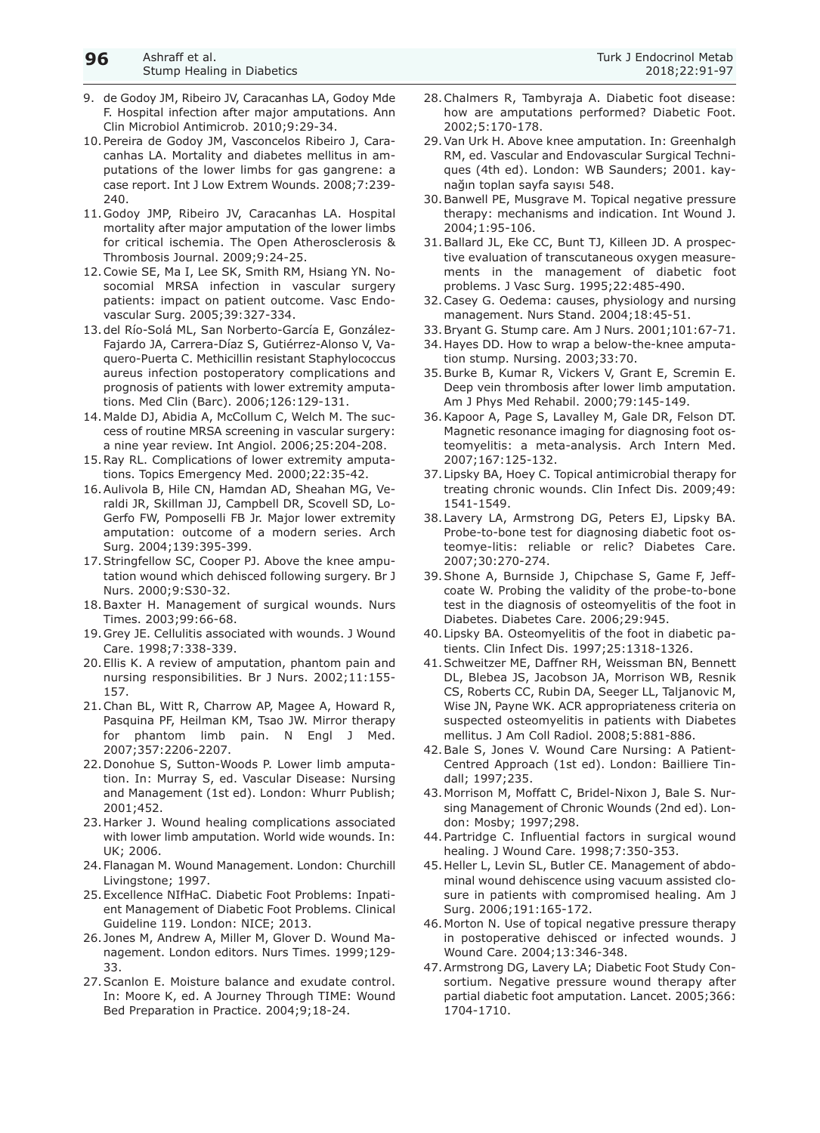- 9. de Godoy JM, Ribeiro JV, Caracanhas LA, Godoy Mde F. Hospital infection after major amputations. Ann Clin Microbiol Antimicrob. 2010;9:29-34.
- 10.Pereira de Godoy JM, Vasconcelos Ribeiro J, Caracanhas LA. Mortality and diabetes mellitus in amputations of the lower limbs for gas gangrene: a case report. Int J Low Extrem Wounds. 2008;7:239- 240.
- 11.Godoy JMP, Ribeiro JV, Caracanhas LA. Hospital mortality after major amputation of the lower limbs for critical ischemia. The Open Atherosclerosis & Thrombosis Journal. 2009;9:24-25.
- 12.Cowie SE, Ma I, Lee SK, Smith RM, Hsiang YN. Nosocomial MRSA infection in vascular surgery patients: impact on patient outcome. Vasc Endovascular Surg. 2005;39:327-334.
- 13.del Río-Solá ML, San Norberto-García E, González-Fajardo JA, Carrera-Díaz S, Gutiérrez-Alonso V, Vaquero-Puerta C. Methicillin resistant Staphylococcus aureus infection postoperatory complications and prognosis of patients with lower extremity amputations. Med Clin (Barc). 2006;126:129-131.
- 14.Malde DJ, Abidia A, McCollum C, Welch M. The success of routine MRSA screening in vascular surgery: a nine year review. Int Angiol. 2006;25:204-208.
- 15.Ray RL. Complications of lower extremity amputations. Topics Emergency Med. 2000;22:35-42.
- 16.Aulivola B, Hile CN, Hamdan AD, Sheahan MG, Veraldi JR, Skillman JJ, Campbell DR, Scovell SD, Lo-Gerfo FW, Pomposelli FB Jr. Major lower extremity amputation: outcome of a modern series. Arch Surg. 2004;139:395-399.
- 17.Stringfellow SC, Cooper PJ. Above the knee amputation wound which dehisced following surgery. Br J Nurs. 2000;9:S30-32.
- 18.Baxter H. Management of surgical wounds. Nurs Times. 2003;99:66-68.
- 19.Grey JE. Cellulitis associated with wounds. J Wound Care. 1998;7:338-339.
- 20.Ellis K. A review of amputation, phantom pain and nursing responsibilities. Br J Nurs. 2002;11:155- 157.
- 21.Chan BL, Witt R, Charrow AP, Magee A, Howard R, Pasquina PF, Heilman KM, Tsao JW. Mirror therapy for phantom limb pain. N Engl J Med. 2007;357:2206-2207.
- 22.Donohue S, Sutton-Woods P. Lower limb amputation. In: Murray S, ed. Vascular Disease: Nursing and Management (1st ed). London: Whurr Publish; 2001;452.
- 23.Harker J. Wound healing complications associated with lower limb amputation. World wide wounds. In: UK; 2006.
- 24.Flanagan M. Wound Management. London: Churchill Livingstone; 1997.
- 25.Excellence NIfHaC. Diabetic Foot Problems: Inpatient Management of Diabetic Foot Problems. Clinical Guideline 119. London: NICE; 2013.
- 26. Jones M, Andrew A, Miller M, Glover D. Wound Management. London editors. Nurs Times. 1999;129- 33.
- 27.Scanlon E. Moisture balance and exudate control. In: Moore K, ed. A Journey Through TIME: Wound Bed Preparation in Practice. 2004;9;18-24.
- 28.Chalmers R, Tambyraja A. Diabetic foot disease: how are amputations performed? Diabetic Foot. 2002;5:170-178.
- 29.Van Urk H. Above knee amputation. In: Greenhalgh RM, ed. Vascular and Endovascular Surgical Techniques (4th ed). London: WB Saunders; 2001. kaynağın toplan sayfa sayısı 548.
- 30.Banwell PE, Musgrave M. Topical negative pressure therapy: mechanisms and indication. Int Wound J. 2004;1:95-106.
- 31.Ballard JL, Eke CC, Bunt TJ, Killeen JD. A prospective evaluation of transcutaneous oxygen measurements in the management of diabetic foot problems. J Vasc Surg. 1995;22:485-490.
- 32.Casey G. Oedema: causes, physiology and nursing management. Nurs Stand. 2004;18:45-51.
- 33.Bryant G. Stump care. Am J Nurs. 2001;101:67-71.
- 34.Hayes DD. How to wrap a below-the-knee amputation stump. Nursing. 2003;33:70.
- 35.Burke B, Kumar R, Vickers V, Grant E, Scremin E. Deep vein thrombosis after lower limb amputation. Am J Phys Med Rehabil. 2000;79:145-149.
- 36.Kapoor A, Page S, Lavalley M, Gale DR, Felson DT. Magnetic resonance imaging for diagnosing foot osteomyelitis: a meta-analysis. Arch Intern Med. 2007;167:125-132.
- 37.Lipsky BA, Hoey C. Topical antimicrobial therapy for treating chronic wounds. Clin Infect Dis. 2009;49: 1541-1549.
- 38.Lavery LA, Armstrong DG, Peters EJ, Lipsky BA. Probe-to-bone test for diagnosing diabetic foot osteomye-litis: reliable or relic? Diabetes Care. 2007;30:270-274.
- 39.Shone A, Burnside J, Chipchase S, Game F, Jeffcoate W. Probing the validity of the probe-to-bone test in the diagnosis of osteomyelitis of the foot in Diabetes. Diabetes Care. 2006;29:945.
- 40.Lipsky BA. Osteomyelitis of the foot in diabetic patients. Clin Infect Dis. 1997;25:1318-1326.
- 41.Schweitzer ME, Daffner RH, Weissman BN, Bennett DL, Blebea JS, Jacobson JA, Morrison WB, Resnik CS, Roberts CC, Rubin DA, Seeger LL, Taljanovic M, Wise JN, Payne WK. ACR appropriateness criteria on suspected osteomyelitis in patients with Diabetes mellitus. J Am Coll Radiol. 2008;5:881-886.
- 42.Bale S, Jones V. Wound Care Nursing: A Patient-Centred Approach (1st ed). London: Bailliere Tindall; 1997;235.
- 43.Morrison M, Moffatt C, Bridel-Nixon J, Bale S. Nursing Management of Chronic Wounds (2nd ed). London: Mosby; 1997;298.
- 44.Partridge C. Influential factors in surgical wound healing. J Wound Care. 1998;7:350-353.
- 45.Heller L, Levin SL, Butler CE. Management of abdominal wound dehiscence using vacuum assisted closure in patients with compromised healing. Am J Surg. 2006;191:165-172.
- 46.Morton N. Use of topical negative pressure therapy in postoperative dehisced or infected wounds. J Wound Care. 2004;13:346-348.
- 47.Armstrong DG, Lavery LA; Diabetic Foot Study Consortium. Negative pressure wound therapy after partial diabetic foot amputation. Lancet. 2005;366: 1704-1710.

**96**